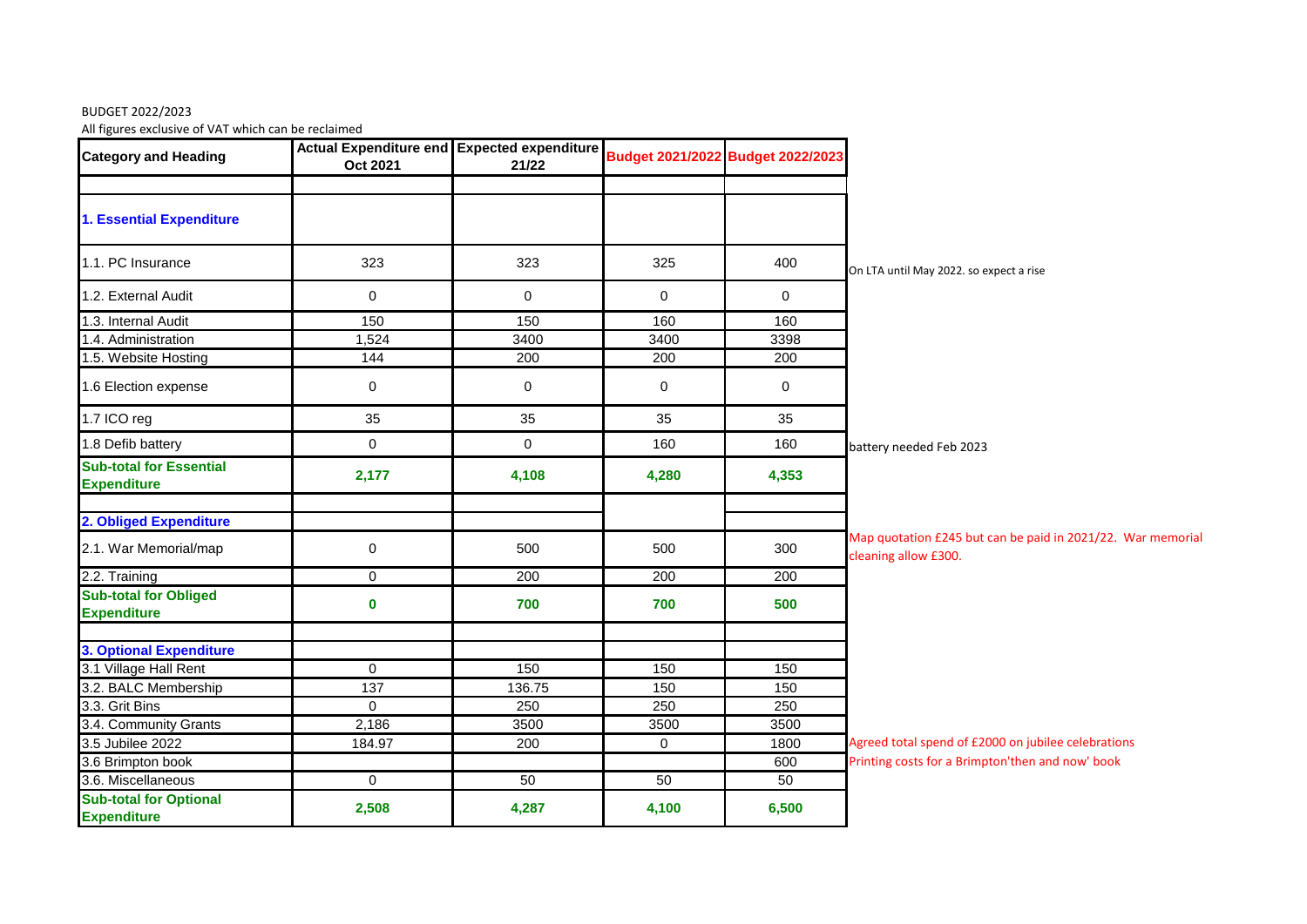## BUDGET 2022/2023

All figures exclusive of VAT which can be reclaimed

| . סי<br><b>Category and Heading</b>                  | Actual Expenditure end Expected expenditure<br>Oct 2021 | 21/22       |             | Budget 2021/2022 Budget 2022/2023 |                                                                                     |
|------------------------------------------------------|---------------------------------------------------------|-------------|-------------|-----------------------------------|-------------------------------------------------------------------------------------|
| <b>1. Essential Expenditure</b>                      |                                                         |             |             |                                   |                                                                                     |
| 1.1. PC Insurance                                    | 323                                                     | 323         | 325         | 400                               | On LTA until May 2022. so expect a rise                                             |
| 1.2. External Audit                                  | $\mathbf 0$                                             | $\mathbf 0$ | $\mathbf 0$ | $\overline{0}$                    |                                                                                     |
| 1.3. Internal Audit                                  | 150                                                     | 150         | 160         | 160                               |                                                                                     |
| 1.4. Administration                                  | 1,524                                                   | 3400        | 3400        | 3398                              |                                                                                     |
| 1.5. Website Hosting                                 | 144                                                     | 200         | 200         | 200                               |                                                                                     |
| 1.6 Election expense                                 | $\mathbf 0$                                             | $\mathbf 0$ | $\mathbf 0$ | $\mathbf 0$                       |                                                                                     |
| 1.7 ICO reg                                          | 35                                                      | 35          | 35          | 35                                |                                                                                     |
| 1.8 Defib battery                                    | $\pmb{0}$                                               | $\mathbf 0$ | 160         | 160                               | battery needed Feb 2023                                                             |
| <b>Sub-total for Essential</b><br><b>Expenditure</b> | 2,177                                                   | 4,108       | 4,280       | 4,353                             |                                                                                     |
| 2. Obliged Expenditure                               |                                                         |             |             |                                   |                                                                                     |
| 2.1. War Memorial/map                                | $\pmb{0}$                                               | 500         | 500         | 300                               | Map quotation £245 but can be paid in 2021/22. War memorial<br>cleaning allow £300. |
| 2.2. Training                                        | $\mathbf 0$                                             | 200         | 200         | 200                               |                                                                                     |
| <b>Sub-total for Obliged</b><br><b>Expenditure</b>   | $\mathbf 0$                                             | 700         | 700         | 500                               |                                                                                     |
| <b>3. Optional Expenditure</b>                       |                                                         |             |             |                                   |                                                                                     |
| 3.1 Village Hall Rent                                | $\mathbf 0$                                             | 150         | 150         | 150                               |                                                                                     |
| 3.2. BALC Membership                                 | $\overline{137}$                                        | 136.75      | 150         | 150                               |                                                                                     |
| 3.3. Grit Bins                                       | $\mathbf 0$                                             | 250         | 250         | 250                               |                                                                                     |
| 3.4. Community Grants                                | 2,186                                                   | 3500        | 3500        | 3500                              |                                                                                     |
| 3.5 Jubilee 2022                                     | 184.97                                                  | 200         | $\mathbf 0$ | 1800                              | Agreed total spend of £2000 on jubilee celebrations                                 |
| 3.6 Brimpton book                                    |                                                         |             |             | 600                               | Printing costs for a Brimpton'then and now' book                                    |
| 3.6. Miscellaneous                                   | $\mathbf 0$                                             | 50          | 50          | 50                                |                                                                                     |
| <b>Sub-total for Optional</b><br><b>Expenditure</b>  | 2,508                                                   | 4,287       | 4,100       | 6,500                             |                                                                                     |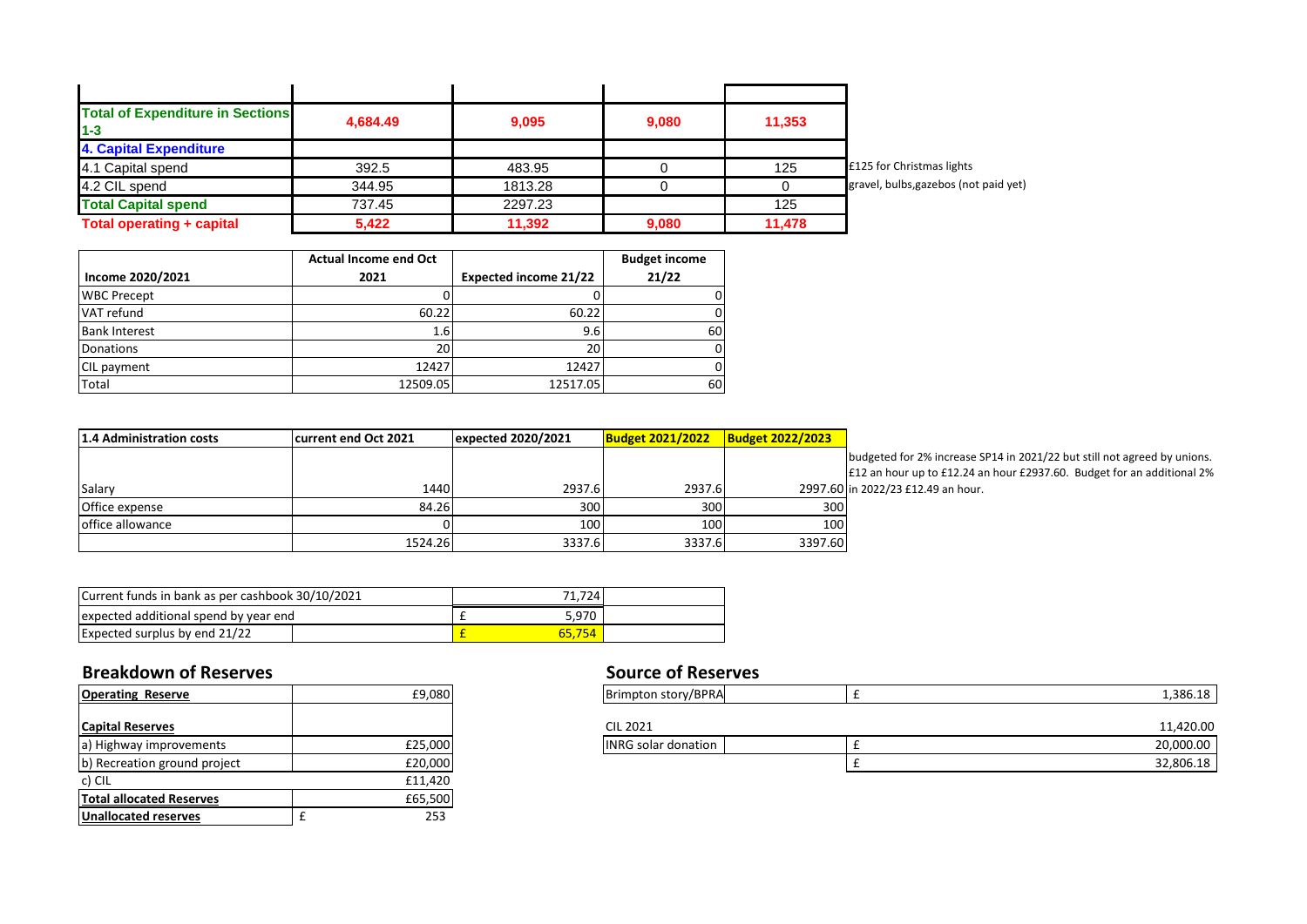| <b>Total of Expenditure in Sections</b><br>$1 - 3$ | 4.684.49 | 9,095   | 9,080 | 11,353 |                                       |
|----------------------------------------------------|----------|---------|-------|--------|---------------------------------------|
| <b>4. Capital Expenditure</b>                      |          |         |       |        |                                       |
| 4.1 Capital spend                                  | 392.5    | 483.95  |       | 125    | £125 for Christmas lights             |
| 4.2 CIL spend                                      | 344.95   | 1813.28 |       |        | gravel, bulbs, gazebos (not paid yet) |
| <b>Total Capital spend</b>                         | 737.45   | 2297.23 |       | 125    |                                       |
| <b>Total operating + capital</b>                   | 5,422    | 11,392  | 9,080 | 11,478 |                                       |

|                      | <b>Actual Income end Oct</b> |                              | <b>Budget income</b> |
|----------------------|------------------------------|------------------------------|----------------------|
| Income 2020/2021     | 2021                         | <b>Expected income 21/22</b> | 21/22                |
| <b>WBC Precept</b>   |                              |                              | 0                    |
| VAT refund           | 60.22                        | 60.22                        | 0                    |
| <b>Bank Interest</b> | 1.6                          | 9.6                          | 60                   |
| Donations            | 20                           | 20                           | 0                    |
| CIL payment          | 12427                        | 12427                        | 0                    |
| Total                | 12509.05                     | 12517.05                     | 60                   |

| 1.4 Administration costs | current end Oct 2021 l | expected 2020/2021 | <b>Budget 2021/2022</b> | <b>Budget 2022/2023</b> |     |
|--------------------------|------------------------|--------------------|-------------------------|-------------------------|-----|
|                          |                        |                    |                         |                         | Ibu |
|                          |                        |                    |                         |                         | £1  |
| Salary                   | 1440                   | 2937.6             | 2937.6                  | 2997.60 in              |     |
| Office expense           | 84.26                  | 300                | 300                     | 300                     |     |
| office allowance         |                        | 100                | 100                     | 100                     |     |
|                          | 1524.26                | 3337.6             | 3337.6                  | 3397.60                 |     |

budgeted for 2% increase SP14 in 2021/22 but still not agreed by unions. £12 an hour up to £12.24 an hour £2937.60. Budget for an additional 2% 2022/23 £12.49 an hour.

| Current funds in bank as per cashbook 30/10/2021 |  |  | 71.724 |  |
|--------------------------------------------------|--|--|--------|--|
| expected additional spend by year end            |  |  | 5.970  |  |
| <b>Expected surplus by end 21/22</b>             |  |  | 65.754 |  |

## **Breakdown of Reserves Breakdown of Reserves**

| <b>Operating Reserve</b>        |   | £9,080  |
|---------------------------------|---|---------|
|                                 |   |         |
| <b>Capital Reserves</b>         |   |         |
| a) Highway improvements         |   | £25,000 |
| b) Recreation ground project    |   | £20,000 |
| c) CIL                          |   | £11,420 |
| <b>Total allocated Reserves</b> |   | £65,500 |
| <b>Unallocated reserves</b>     | f | 253     |

| <b>Operating Reserve</b>     | £9,080 l | Brimpton story/BPRA        | 1,386.18  |
|------------------------------|----------|----------------------------|-----------|
|                              |          |                            |           |
| <b>Capital Reserves</b>      |          | <b>CIL 2021</b>            | 11,420.00 |
| a) Highway improvements      | £25,000  | <b>INRG solar donation</b> | 20,000.00 |
| b) Recreation ground project | £20,000  |                            | 32,806.18 |